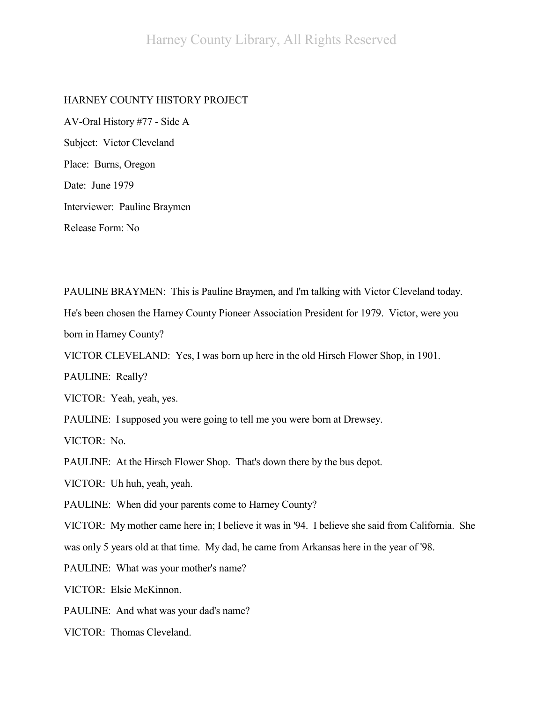## HARNEY COUNTY HISTORY PROJECT

AV-Oral History #77 - Side A Subject: Victor Cleveland Place: Burns, Oregon Date: June 1979 Interviewer: Pauline Braymen Release Form: No

PAULINE BRAYMEN: This is Pauline Braymen, and I'm talking with Victor Cleveland today.

He's been chosen the Harney County Pioneer Association President for 1979. Victor, were you born in Harney County?

VICTOR CLEVELAND: Yes, I was born up here in the old Hirsch Flower Shop, in 1901.

PAULINE: Really?

VICTOR: Yeah, yeah, yes.

PAULINE: I supposed you were going to tell me you were born at Drewsey.

VICTOR: No.

PAULINE: At the Hirsch Flower Shop. That's down there by the bus depot.

VICTOR: Uh huh, yeah, yeah.

PAULINE: When did your parents come to Harney County?

VICTOR: My mother came here in; I believe it was in '94. I believe she said from California. She

was only 5 years old at that time. My dad, he came from Arkansas here in the year of '98.

PAULINE: What was your mother's name?

VICTOR: Elsie McKinnon.

PAULINE: And what was your dad's name?

VICTOR: Thomas Cleveland.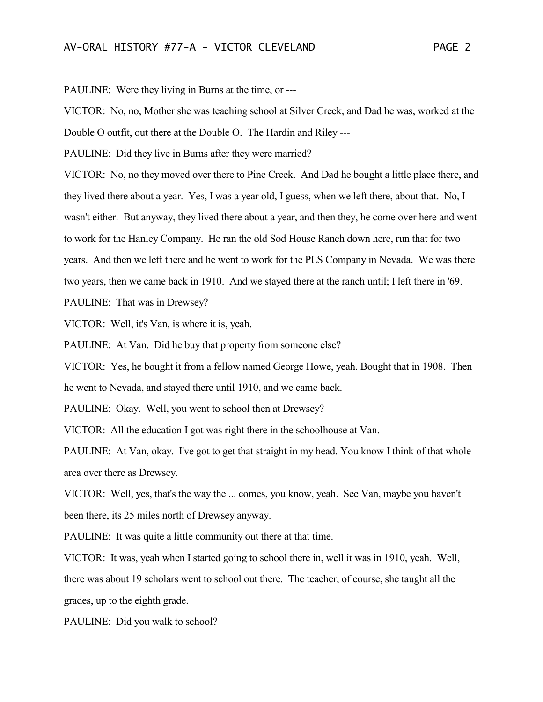PAULINE: Were they living in Burns at the time, or ---

VICTOR: No, no, Mother she was teaching school at Silver Creek, and Dad he was, worked at the Double O outfit, out there at the Double O. The Hardin and Riley ---

PAULINE: Did they live in Burns after they were married?

VICTOR: No, no they moved over there to Pine Creek. And Dad he bought a little place there, and they lived there about a year. Yes, I was a year old, I guess, when we left there, about that. No, I wasn't either. But anyway, they lived there about a year, and then they, he come over here and went to work for the Hanley Company. He ran the old Sod House Ranch down here, run that for two years. And then we left there and he went to work for the PLS Company in Nevada. We was there two years, then we came back in 1910. And we stayed there at the ranch until; I left there in '69.

PAULINE: That was in Drewsey?

VICTOR: Well, it's Van, is where it is, yeah.

PAULINE: At Van. Did he buy that property from someone else?

VICTOR: Yes, he bought it from a fellow named George Howe, yeah. Bought that in 1908. Then he went to Nevada, and stayed there until 1910, and we came back.

PAULINE: Okay. Well, you went to school then at Drewsey?

VICTOR: All the education I got was right there in the schoolhouse at Van.

PAULINE: At Van, okay. I've got to get that straight in my head. You know I think of that whole area over there as Drewsey.

VICTOR: Well, yes, that's the way the ... comes, you know, yeah. See Van, maybe you haven't been there, its 25 miles north of Drewsey anyway.

PAULINE: It was quite a little community out there at that time.

VICTOR: It was, yeah when I started going to school there in, well it was in 1910, yeah. Well, there was about 19 scholars went to school out there. The teacher, of course, she taught all the grades, up to the eighth grade.

PAULINE: Did you walk to school?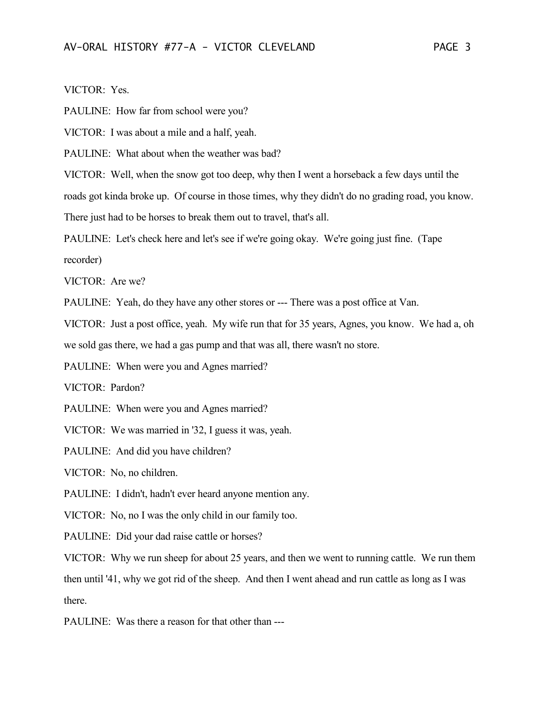PAULINE: How far from school were you?

VICTOR: I was about a mile and a half, yeah.

PAULINE: What about when the weather was bad?

VICTOR: Well, when the snow got too deep, why then I went a horseback a few days until the

roads got kinda broke up. Of course in those times, why they didn't do no grading road, you know.

There just had to be horses to break them out to travel, that's all.

PAULINE: Let's check here and let's see if we're going okay. We're going just fine. (Tape recorder)

VICTOR: Are we?

PAULINE: Yeah, do they have any other stores or --- There was a post office at Van.

VICTOR: Just a post office, yeah. My wife run that for 35 years, Agnes, you know. We had a, oh we sold gas there, we had a gas pump and that was all, there wasn't no store.

PAULINE: When were you and Agnes married?

VICTOR: Pardon?

PAULINE: When were you and Agnes married?

VICTOR: We was married in '32, I guess it was, yeah.

PAULINE: And did you have children?

VICTOR: No, no children.

PAULINE: I didn't, hadn't ever heard anyone mention any.

VICTOR: No, no I was the only child in our family too.

PAULINE: Did your dad raise cattle or horses?

VICTOR: Why we run sheep for about 25 years, and then we went to running cattle. We run them then until '41, why we got rid of the sheep. And then I went ahead and run cattle as long as I was there.

PAULINE: Was there a reason for that other than ---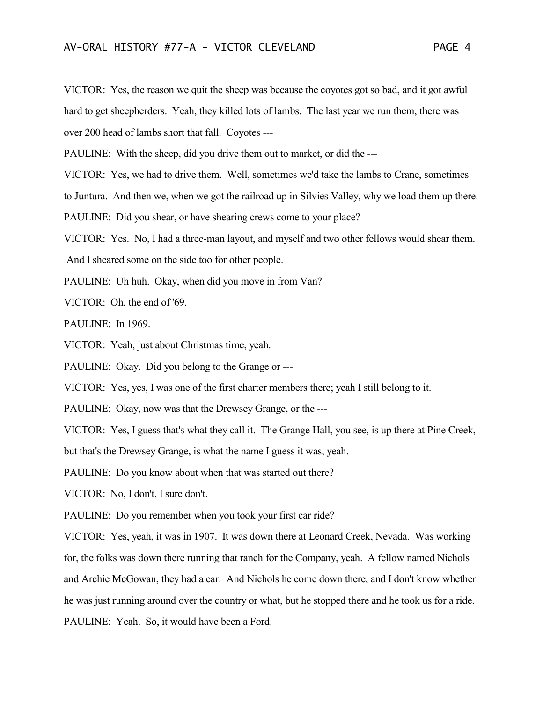VICTOR: Yes, the reason we quit the sheep was because the coyotes got so bad, and it got awful hard to get sheepherders. Yeah, they killed lots of lambs. The last year we run them, there was over 200 head of lambs short that fall. Coyotes ---

PAULINE: With the sheep, did you drive them out to market, or did the ---

VICTOR: Yes, we had to drive them. Well, sometimes we'd take the lambs to Crane, sometimes

to Juntura. And then we, when we got the railroad up in Silvies Valley, why we load them up there.

PAULINE: Did you shear, or have shearing crews come to your place?

VICTOR: Yes. No, I had a three-man layout, and myself and two other fellows would shear them. And I sheared some on the side too for other people.

PAULINE: Uh huh. Okay, when did you move in from Van?

VICTOR: Oh, the end of '69.

PAULINE: In 1969.

VICTOR: Yeah, just about Christmas time, yeah.

PAULINE: Okay. Did you belong to the Grange or ---

VICTOR: Yes, yes, I was one of the first charter members there; yeah I still belong to it.

PAULINE: Okay, now was that the Drewsey Grange, or the ---

VICTOR: Yes, I guess that's what they call it. The Grange Hall, you see, is up there at Pine Creek,

but that's the Drewsey Grange, is what the name I guess it was, yeah.

PAULINE: Do you know about when that was started out there?

VICTOR: No, I don't, I sure don't.

PAULINE: Do you remember when you took your first car ride?

VICTOR: Yes, yeah, it was in 1907. It was down there at Leonard Creek, Nevada. Was working for, the folks was down there running that ranch for the Company, yeah. A fellow named Nichols and Archie McGowan, they had a car. And Nichols he come down there, and I don't know whether he was just running around over the country or what, but he stopped there and he took us for a ride. PAULINE: Yeah. So, it would have been a Ford.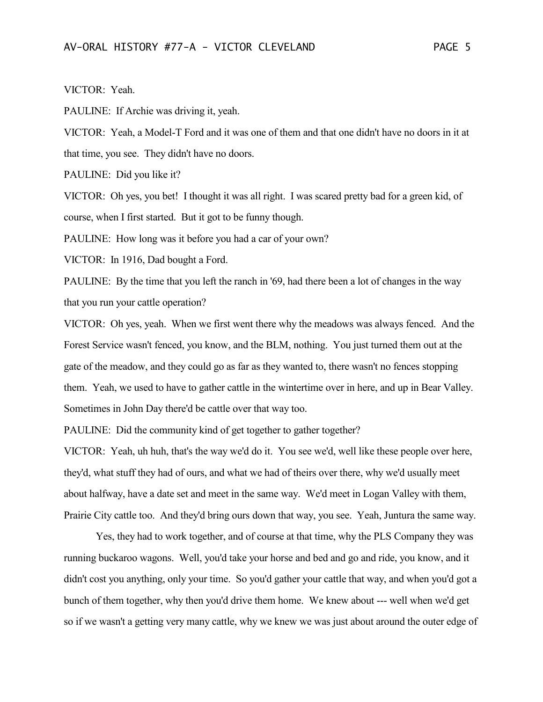## VICTOR: Yeah.

PAULINE: If Archie was driving it, yeah.

VICTOR: Yeah, a Model-T Ford and it was one of them and that one didn't have no doors in it at that time, you see. They didn't have no doors.

PAULINE: Did you like it?

VICTOR: Oh yes, you bet! I thought it was all right. I was scared pretty bad for a green kid, of course, when I first started. But it got to be funny though.

PAULINE: How long was it before you had a car of your own?

VICTOR: In 1916, Dad bought a Ford.

PAULINE: By the time that you left the ranch in '69, had there been a lot of changes in the way that you run your cattle operation?

VICTOR: Oh yes, yeah. When we first went there why the meadows was always fenced. And the Forest Service wasn't fenced, you know, and the BLM, nothing. You just turned them out at the gate of the meadow, and they could go as far as they wanted to, there wasn't no fences stopping them. Yeah, we used to have to gather cattle in the wintertime over in here, and up in Bear Valley. Sometimes in John Day there'd be cattle over that way too.

PAULINE: Did the community kind of get together to gather together?

VICTOR: Yeah, uh huh, that's the way we'd do it. You see we'd, well like these people over here, they'd, what stuff they had of ours, and what we had of theirs over there, why we'd usually meet about halfway, have a date set and meet in the same way. We'd meet in Logan Valley with them, Prairie City cattle too. And they'd bring ours down that way, you see. Yeah, Juntura the same way.

Yes, they had to work together, and of course at that time, why the PLS Company they was running buckaroo wagons. Well, you'd take your horse and bed and go and ride, you know, and it didn't cost you anything, only your time. So you'd gather your cattle that way, and when you'd got a bunch of them together, why then you'd drive them home. We knew about --- well when we'd get so if we wasn't a getting very many cattle, why we knew we was just about around the outer edge of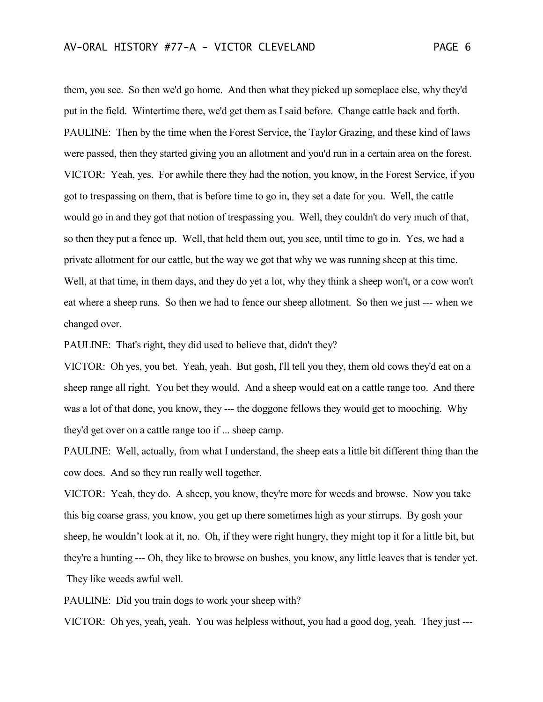them, you see. So then we'd go home. And then what they picked up someplace else, why they'd put in the field. Wintertime there, we'd get them as I said before. Change cattle back and forth. PAULINE: Then by the time when the Forest Service, the Taylor Grazing, and these kind of laws were passed, then they started giving you an allotment and you'd run in a certain area on the forest. VICTOR: Yeah, yes. For awhile there they had the notion, you know, in the Forest Service, if you got to trespassing on them, that is before time to go in, they set a date for you. Well, the cattle would go in and they got that notion of trespassing you. Well, they couldn't do very much of that, so then they put a fence up. Well, that held them out, you see, until time to go in. Yes, we had a private allotment for our cattle, but the way we got that why we was running sheep at this time. Well, at that time, in them days, and they do yet a lot, why they think a sheep won't, or a cow won't eat where a sheep runs. So then we had to fence our sheep allotment. So then we just --- when we changed over.

PAULINE: That's right, they did used to believe that, didn't they?

VICTOR: Oh yes, you bet. Yeah, yeah. But gosh, I'll tell you they, them old cows they'd eat on a sheep range all right. You bet they would. And a sheep would eat on a cattle range too. And there was a lot of that done, you know, they --- the doggone fellows they would get to mooching. Why they'd get over on a cattle range too if ... sheep camp.

PAULINE: Well, actually, from what I understand, the sheep eats a little bit different thing than the cow does. And so they run really well together.

VICTOR: Yeah, they do. A sheep, you know, they're more for weeds and browse. Now you take this big coarse grass, you know, you get up there sometimes high as your stirrups. By gosh your sheep, he wouldn't look at it, no. Oh, if they were right hungry, they might top it for a little bit, but they're a hunting --- Oh, they like to browse on bushes, you know, any little leaves that is tender yet. They like weeds awful well.

PAULINE: Did you train dogs to work your sheep with?

VICTOR: Oh yes, yeah, yeah. You was helpless without, you had a good dog, yeah. They just ---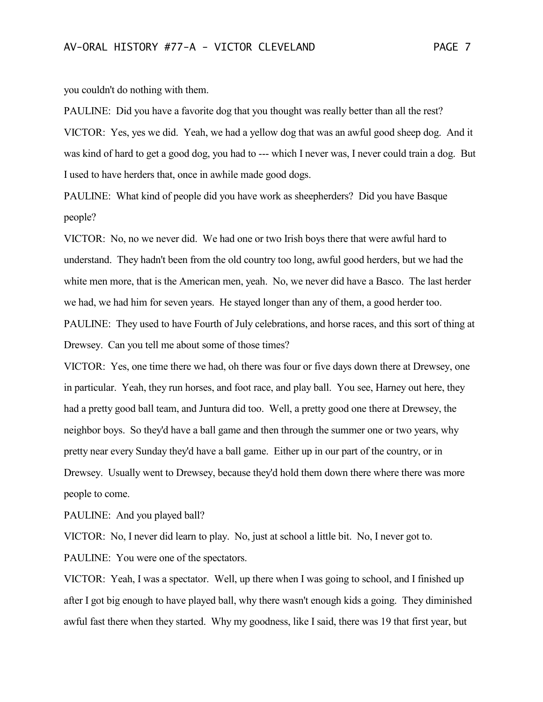you couldn't do nothing with them.

PAULINE: Did you have a favorite dog that you thought was really better than all the rest? VICTOR: Yes, yes we did. Yeah, we had a yellow dog that was an awful good sheep dog. And it was kind of hard to get a good dog, you had to --- which I never was, I never could train a dog. But I used to have herders that, once in awhile made good dogs.

PAULINE: What kind of people did you have work as sheepherders? Did you have Basque people?

VICTOR: No, no we never did. We had one or two Irish boys there that were awful hard to understand. They hadn't been from the old country too long, awful good herders, but we had the white men more, that is the American men, yeah. No, we never did have a Basco. The last herder we had, we had him for seven years. He stayed longer than any of them, a good herder too. PAULINE: They used to have Fourth of July celebrations, and horse races, and this sort of thing at Drewsey. Can you tell me about some of those times?

VICTOR: Yes, one time there we had, oh there was four or five days down there at Drewsey, one in particular. Yeah, they run horses, and foot race, and play ball. You see, Harney out here, they had a pretty good ball team, and Juntura did too. Well, a pretty good one there at Drewsey, the neighbor boys. So they'd have a ball game and then through the summer one or two years, why pretty near every Sunday they'd have a ball game. Either up in our part of the country, or in Drewsey. Usually went to Drewsey, because they'd hold them down there where there was more people to come.

PAULINE: And you played ball?

VICTOR: No, I never did learn to play. No, just at school a little bit. No, I never got to. PAULINE: You were one of the spectators.

VICTOR: Yeah, I was a spectator. Well, up there when I was going to school, and I finished up after I got big enough to have played ball, why there wasn't enough kids a going. They diminished awful fast there when they started. Why my goodness, like I said, there was 19 that first year, but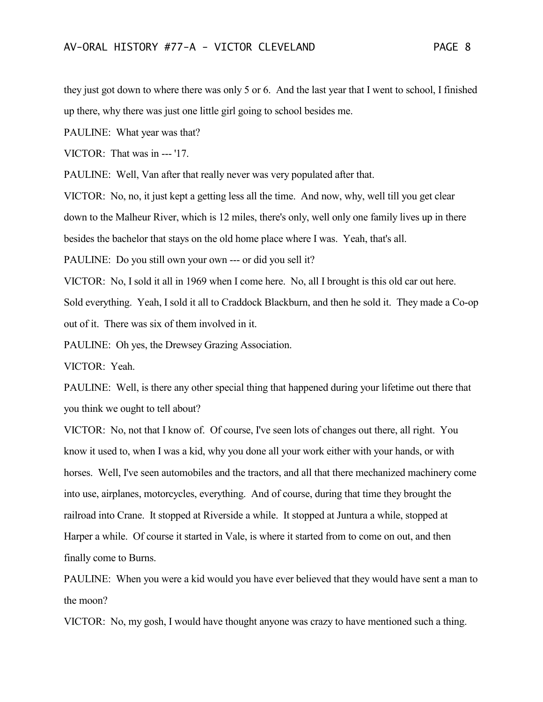they just got down to where there was only 5 or 6. And the last year that I went to school, I finished up there, why there was just one little girl going to school besides me.

PAULINE: What year was that?

VICTOR: That was in --- '17.

PAULINE: Well, Van after that really never was very populated after that.

VICTOR: No, no, it just kept a getting less all the time. And now, why, well till you get clear

down to the Malheur River, which is 12 miles, there's only, well only one family lives up in there

besides the bachelor that stays on the old home place where I was. Yeah, that's all.

PAULINE: Do you still own your own --- or did you sell it?

VICTOR: No, I sold it all in 1969 when I come here. No, all I brought is this old car out here.

Sold everything. Yeah, I sold it all to Craddock Blackburn, and then he sold it. They made a Co-op out of it. There was six of them involved in it.

PAULINE: Oh yes, the Drewsey Grazing Association.

VICTOR: Yeah.

PAULINE: Well, is there any other special thing that happened during your lifetime out there that you think we ought to tell about?

VICTOR: No, not that I know of. Of course, I've seen lots of changes out there, all right. You know it used to, when I was a kid, why you done all your work either with your hands, or with horses. Well, I've seen automobiles and the tractors, and all that there mechanized machinery come into use, airplanes, motorcycles, everything. And of course, during that time they brought the railroad into Crane. It stopped at Riverside a while. It stopped at Juntura a while, stopped at Harper a while. Of course it started in Vale, is where it started from to come on out, and then finally come to Burns.

PAULINE: When you were a kid would you have ever believed that they would have sent a man to the moon?

VICTOR: No, my gosh, I would have thought anyone was crazy to have mentioned such a thing.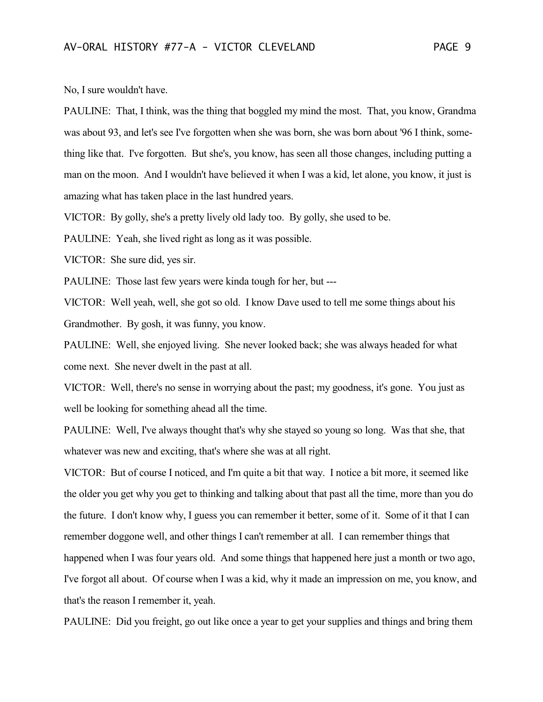No, I sure wouldn't have.

PAULINE: That, I think, was the thing that boggled my mind the most. That, you know, Grandma was about 93, and let's see I've forgotten when she was born, she was born about '96 I think, something like that. I've forgotten. But she's, you know, has seen all those changes, including putting a man on the moon. And I wouldn't have believed it when I was a kid, let alone, you know, it just is amazing what has taken place in the last hundred years.

VICTOR: By golly, she's a pretty lively old lady too. By golly, she used to be.

PAULINE: Yeah, she lived right as long as it was possible.

VICTOR: She sure did, yes sir.

PAULINE: Those last few years were kinda tough for her, but ---

VICTOR: Well yeah, well, she got so old. I know Dave used to tell me some things about his Grandmother. By gosh, it was funny, you know.

PAULINE: Well, she enjoyed living. She never looked back; she was always headed for what come next. She never dwelt in the past at all.

VICTOR: Well, there's no sense in worrying about the past; my goodness, it's gone. You just as well be looking for something ahead all the time.

PAULINE: Well, I've always thought that's why she stayed so young so long. Was that she, that whatever was new and exciting, that's where she was at all right.

VICTOR: But of course I noticed, and I'm quite a bit that way. I notice a bit more, it seemed like the older you get why you get to thinking and talking about that past all the time, more than you do the future. I don't know why, I guess you can remember it better, some of it. Some of it that I can remember doggone well, and other things I can't remember at all. I can remember things that happened when I was four years old. And some things that happened here just a month or two ago, I've forgot all about. Of course when I was a kid, why it made an impression on me, you know, and that's the reason I remember it, yeah.

PAULINE: Did you freight, go out like once a year to get your supplies and things and bring them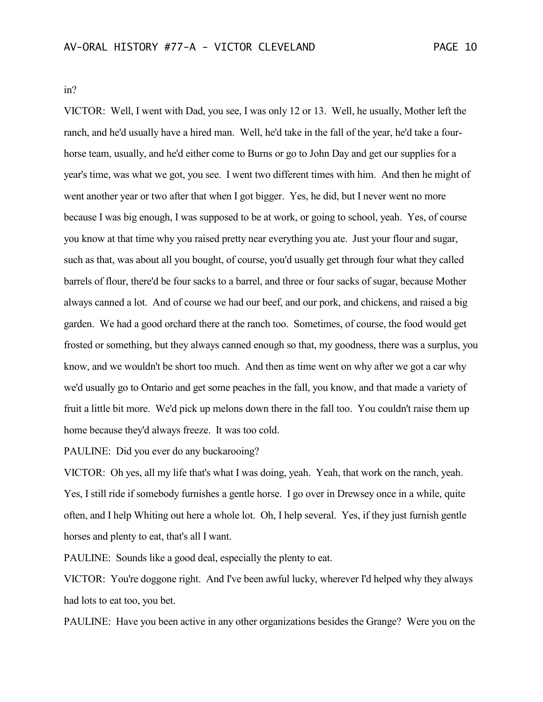in?

VICTOR: Well, I went with Dad, you see, I was only 12 or 13. Well, he usually, Mother left the ranch, and he'd usually have a hired man. Well, he'd take in the fall of the year, he'd take a fourhorse team, usually, and he'd either come to Burns or go to John Day and get our supplies for a year's time, was what we got, you see. I went two different times with him. And then he might of went another year or two after that when I got bigger. Yes, he did, but I never went no more because I was big enough, I was supposed to be at work, or going to school, yeah. Yes, of course you know at that time why you raised pretty near everything you ate. Just your flour and sugar, such as that, was about all you bought, of course, you'd usually get through four what they called barrels of flour, there'd be four sacks to a barrel, and three or four sacks of sugar, because Mother always canned a lot. And of course we had our beef, and our pork, and chickens, and raised a big garden. We had a good orchard there at the ranch too. Sometimes, of course, the food would get frosted or something, but they always canned enough so that, my goodness, there was a surplus, you know, and we wouldn't be short too much. And then as time went on why after we got a car why we'd usually go to Ontario and get some peaches in the fall, you know, and that made a variety of fruit a little bit more. We'd pick up melons down there in the fall too. You couldn't raise them up home because they'd always freeze. It was too cold.

PAULINE: Did you ever do any buckarooing?

VICTOR: Oh yes, all my life that's what I was doing, yeah. Yeah, that work on the ranch, yeah. Yes, I still ride if somebody furnishes a gentle horse. I go over in Drewsey once in a while, quite often, and I help Whiting out here a whole lot. Oh, I help several. Yes, if they just furnish gentle horses and plenty to eat, that's all I want.

PAULINE: Sounds like a good deal, especially the plenty to eat.

VICTOR: You're doggone right. And I've been awful lucky, wherever I'd helped why they always had lots to eat too, you bet.

PAULINE: Have you been active in any other organizations besides the Grange? Were you on the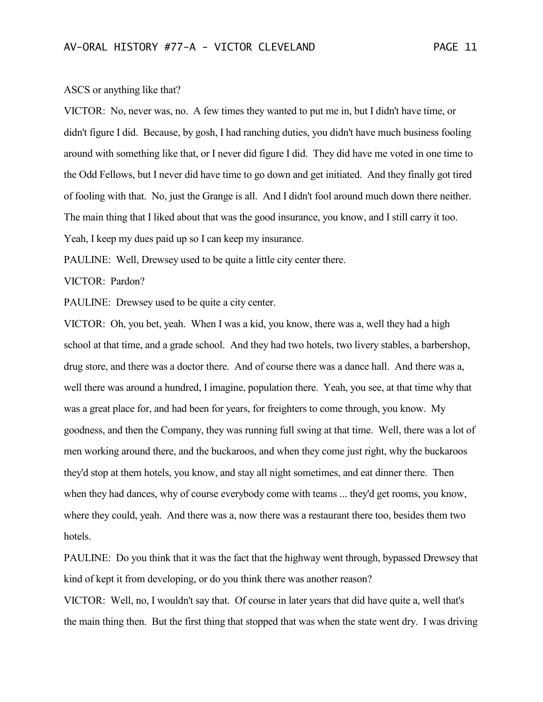## ASCS or anything like that?

VICTOR: No, never was, no. A few times they wanted to put me in, but I didn't have time, or didn't figure I did. Because, by gosh, I had ranching duties, you didn't have much business fooling around with something like that, or I never did figure I did. They did have me voted in one time to the Odd Fellows, but I never did have time to go down and get initiated. And they finally got tired of fooling with that. No, just the Grange is all. And I didn't fool around much down there neither. The main thing that I liked about that was the good insurance, you know, and I still carry it too. Yeah, I keep my dues paid up so I can keep my insurance.

PAULINE: Well, Drewsey used to be quite a little city center there.

## VICTOR: Pardon?

PAULINE: Drewsey used to be quite a city center.

VICTOR: Oh, you bet, yeah. When I was a kid, you know, there was a, well they had a high school at that time, and a grade school. And they had two hotels, two livery stables, a barbershop, drug store, and there was a doctor there. And of course there was a dance hall. And there was a, well there was around a hundred, I imagine, population there. Yeah, you see, at that time why that was a great place for, and had been for years, for freighters to come through, you know. My goodness, and then the Company, they was running full swing at that time. Well, there was a lot of men working around there, and the buckaroos, and when they come just right, why the buckaroos they'd stop at them hotels, you know, and stay all night sometimes, and eat dinner there. Then when they had dances, why of course everybody come with teams ... they'd get rooms, you know, where they could, yeah. And there was a, now there was a restaurant there too, besides them two hotels.

PAULINE: Do you think that it was the fact that the highway went through, bypassed Drewsey that kind of kept it from developing, or do you think there was another reason?

VICTOR: Well, no, I wouldn't say that. Of course in later years that did have quite a, well that's the main thing then. But the first thing that stopped that was when the state went dry. I was driving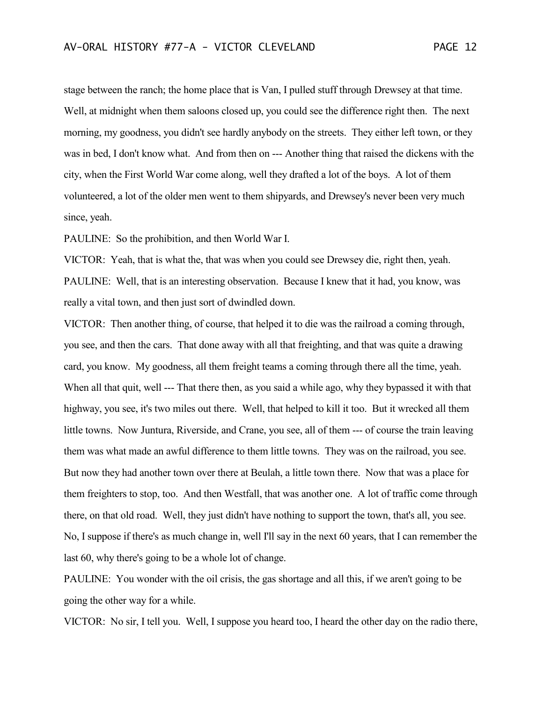stage between the ranch; the home place that is Van, I pulled stuff through Drewsey at that time. Well, at midnight when them saloons closed up, you could see the difference right then. The next morning, my goodness, you didn't see hardly anybody on the streets. They either left town, or they was in bed, I don't know what. And from then on --- Another thing that raised the dickens with the city, when the First World War come along, well they drafted a lot of the boys. A lot of them volunteered, a lot of the older men went to them shipyards, and Drewsey's never been very much since, yeah.

PAULINE: So the prohibition, and then World War I.

VICTOR: Yeah, that is what the, that was when you could see Drewsey die, right then, yeah. PAULINE: Well, that is an interesting observation. Because I knew that it had, you know, was really a vital town, and then just sort of dwindled down.

VICTOR: Then another thing, of course, that helped it to die was the railroad a coming through, you see, and then the cars. That done away with all that freighting, and that was quite a drawing card, you know. My goodness, all them freight teams a coming through there all the time, yeah. When all that quit, well --- That there then, as you said a while ago, why they bypassed it with that highway, you see, it's two miles out there. Well, that helped to kill it too. But it wrecked all them little towns. Now Juntura, Riverside, and Crane, you see, all of them --- of course the train leaving them was what made an awful difference to them little towns. They was on the railroad, you see. But now they had another town over there at Beulah, a little town there. Now that was a place for them freighters to stop, too. And then Westfall, that was another one. A lot of traffic come through there, on that old road. Well, they just didn't have nothing to support the town, that's all, you see. No, I suppose if there's as much change in, well I'll say in the next 60 years, that I can remember the last 60, why there's going to be a whole lot of change.

PAULINE: You wonder with the oil crisis, the gas shortage and all this, if we aren't going to be going the other way for a while.

VICTOR: No sir, I tell you. Well, I suppose you heard too, I heard the other day on the radio there,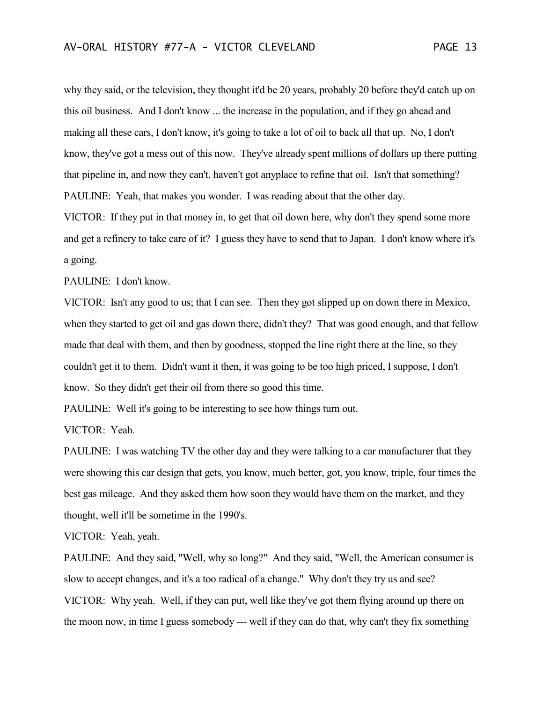why they said, or the television, they thought it'd be 20 years, probably 20 before they'd catch up on this oil business. And I don't know ... the increase in the population, and if they go ahead and making all these cars, I don't know, it's going to take a lot of oil to back all that up. No, I don't know, they've got a mess out of this now. They've already spent millions of dollars up there putting that pipeline in, and now they can't, haven't got anyplace to refine that oil. Isn't that something? PAULINE: Yeah, that makes you wonder. I was reading about that the other day. VICTOR: If they put in that money in, to get that oil down here, why don't they spend some more and get a refinery to take care of it? I guess they have to send that to Japan. I don't know where it's a going.

PAULINE: I don't know.

VICTOR: Isn't any good to us; that I can see. Then they got slipped up on down there in Mexico, when they started to get oil and gas down there, didn't they? That was good enough, and that fellow made that deal with them, and then by goodness, stopped the line right there at the line, so they couldn't get it to them. Didn't want it then, it was going to be too high priced, I suppose, I don't know. So they didn't get their oil from there so good this time.

PAULINE: Well it's going to be interesting to see how things turn out.

VICTOR: Yeah.

PAULINE: I was watching TV the other day and they were talking to a car manufacturer that they were showing this car design that gets, you know, much better, got, you know, triple, four times the best gas mileage. And they asked them how soon they would have them on the market, and they thought, well it'll be sometime in the 1990's.

VICTOR: Yeah, yeah.

PAULINE: And they said, "Well, why so long?" And they said, "Well, the American consumer is slow to accept changes, and it's a too radical of a change." Why don't they try us and see? VICTOR: Why yeah. Well, if they can put, well like they've got them flying around up there on the moon now, in time I guess somebody --- well if they can do that, why can't they fix something